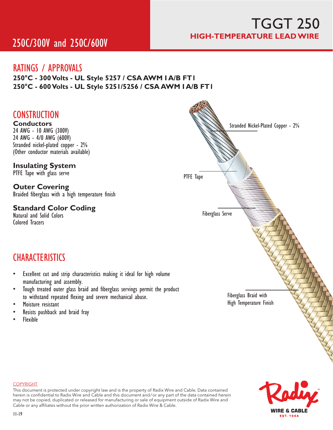# TGGT 250 **HIGH-TEMPERATURE LEAD WIRE**

# 250C/300V and 250C/600V

## RATINGS / APPROVALS

**250�C - 300 Volts - UL Style 5257 / CSA AWM I A/B FT1 250�C - 600 Volts - UL Style 5251/5256 / CSA AWM I A/B FT1**

## **CONSTRUCTION**

**Conductors** 24 AWG - 10 AWG (300V) 24 AWG - 4/0 AWG (600V) Stranded nickel-plated copper - 2% (Other conductor materials available)

### **Insulating System**

PTFE Tape with glass serve

## **Outer Covering**

Braided fiberglass with a high temperature finish

### **Standard Color Coding**

Natural and Solid Colors Colored Tracers

## **CHARACTERISTICS**

- Excellent cut and strip characteristics making it ideal for high volume manufacturing and assembly.
- Tough treated outer glass braid and fiberglass servings permit the product to withstand repeated flexing and severe mechanical abuse.
- Moisture resistant
- Resists pushback and braid fray
- Flexible



#### COPYRIGHT

This document is protected under copyright law and is the property of Radix Wire and Cable. Data contained herein is confidential to Radix Wire and Cable and this document and / or any part of the data contained herein may not be copied, duplicated or released for manufacturing or sale of equipment outside of Radix Wire and Cable or any affiliates without the prior written authorization of Radix Wire & Cable.